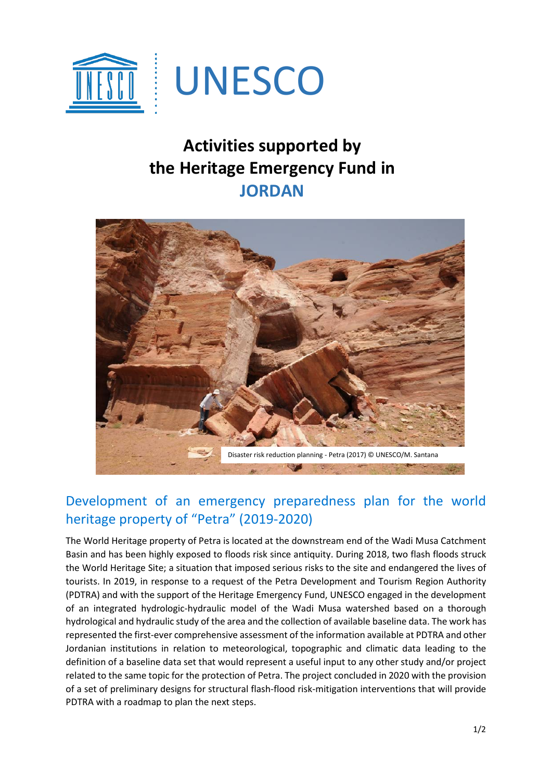

## **Activities supported by the Heritage Emergency Fund in JORDAN**



## Development of an emergency preparedness plan for the world heritage property of "Petra" (2019-2020)

The World Heritage property of Petra is located at the downstream end of the Wadi Musa Catchment Basin and has been highly exposed to floods risk since antiquity. During 2018, two flash floods struck the World Heritage Site; a situation that imposed serious risks to the site and endangered the lives of tourists. In 2019, in response to a request of the Petra Development and Tourism Region Authority (PDTRA) and with the support of the Heritage Emergency Fund, UNESCO engaged in the development of an integrated hydrologic-hydraulic model of the Wadi Musa watershed based on a thorough hydrological and hydraulic study of the area and the collection of available baseline data. The work has represented the first-ever comprehensive assessment of the information available at PDTRA and other Jordanian institutions in relation to meteorological, topographic and climatic data leading to the definition of a baseline data set that would represent a useful input to any other study and/or project related to the same topic for the protection of Petra. The project concluded in 2020 with the provision of a set of preliminary designs for structural flash-flood risk-mitigation interventions that will provide PDTRA with a roadmap to plan the next steps.